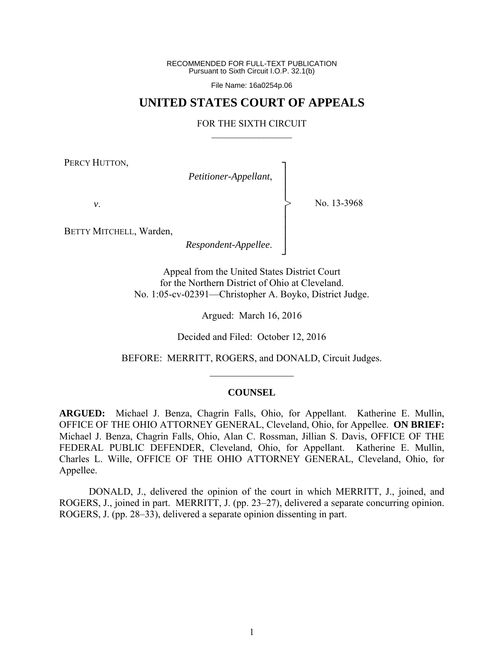RECOMMENDED FOR FULL-TEXT PUBLICATION Pursuant to Sixth Circuit I.O.P. 32.1(b)

File Name: 16a0254p.06

## **UNITED STATES COURT OF APPEALS**

#### FOR THE SIXTH CIRCUIT  $\mathcal{L}_\text{max}$

┐ │ │ │ │ │ │ │ ┘

>

PERCY HUTTON,

*Petitioner-Appellant*,

*v*.

No. 13-3968

BETTY MITCHELL, Warden,

*Respondent-Appellee*.

Appeal from the United States District Court for the Northern District of Ohio at Cleveland. No. 1:05-cv-02391—Christopher A. Boyko, District Judge.

Argued: March 16, 2016

Decided and Filed: October 12, 2016

BEFORE: MERRITT, ROGERS, and DONALD, Circuit Judges.  $\frac{1}{2}$ 

#### **COUNSEL**

**ARGUED:** Michael J. Benza, Chagrin Falls, Ohio, for Appellant. Katherine E. Mullin, OFFICE OF THE OHIO ATTORNEY GENERAL, Cleveland, Ohio, for Appellee. **ON BRIEF:** Michael J. Benza, Chagrin Falls, Ohio, Alan C. Rossman, Jillian S. Davis, OFFICE OF THE FEDERAL PUBLIC DEFENDER, Cleveland, Ohio, for Appellant. Katherine E. Mullin, Charles L. Wille, OFFICE OF THE OHIO ATTORNEY GENERAL, Cleveland, Ohio, for Appellee.

 DONALD, J., delivered the opinion of the court in which MERRITT, J., joined, and ROGERS, J., joined in part. MERRITT, J. (pp. 23–27), delivered a separate concurring opinion. ROGERS, J. (pp. 28–33), delivered a separate opinion dissenting in part.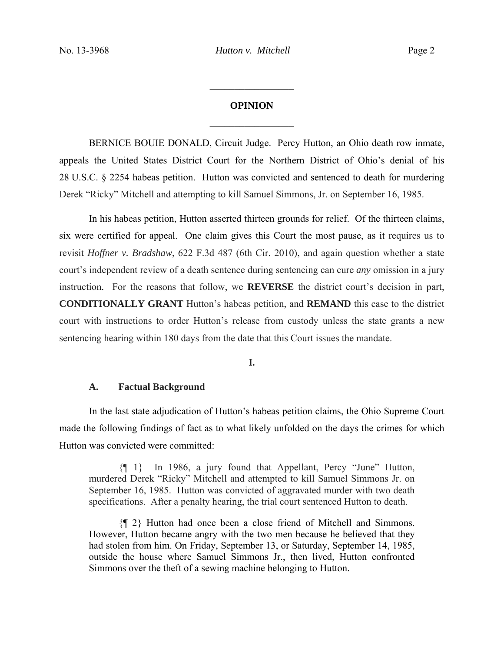# **OPINION**   $\frac{1}{2}$

 $\frac{1}{2}$ 

BERNICE BOUIE DONALD, Circuit Judge.Percy Hutton, an Ohio death row inmate, appeals the United States District Court for the Northern District of Ohio's denial of his 28 U.S.C. § 2254 habeas petition. Hutton was convicted and sentenced to death for murdering Derek "Ricky" Mitchell and attempting to kill Samuel Simmons, Jr. on September 16, 1985.

In his habeas petition, Hutton asserted thirteen grounds for relief. Of the thirteen claims, six were certified for appeal. One claim gives this Court the most pause, as it requires us to revisit *Hoffner v. Bradshaw*, 622 F.3d 487 (6th Cir. 2010), and again question whether a state court's independent review of a death sentence during sentencing can cure *any* omission in a jury instruction. For the reasons that follow, we **REVERSE** the district court's decision in part, **CONDITIONALLY GRANT** Hutton's habeas petition, and **REMAND** this case to the district court with instructions to order Hutton's release from custody unless the state grants a new sentencing hearing within 180 days from the date that this Court issues the mandate.

**I.**

## **A. Factual Background**

In the last state adjudication of Hutton's habeas petition claims, the Ohio Supreme Court made the following findings of fact as to what likely unfolded on the days the crimes for which Hutton was convicted were committed:

{¶ 1} In 1986, a jury found that Appellant, Percy "June" Hutton, murdered Derek "Ricky" Mitchell and attempted to kill Samuel Simmons Jr. on September 16, 1985. Hutton was convicted of aggravated murder with two death specifications. After a penalty hearing, the trial court sentenced Hutton to death.

{¶ 2} Hutton had once been a close friend of Mitchell and Simmons. However, Hutton became angry with the two men because he believed that they had stolen from him. On Friday, September 13, or Saturday, September 14, 1985, outside the house where Samuel Simmons Jr., then lived, Hutton confronted Simmons over the theft of a sewing machine belonging to Hutton.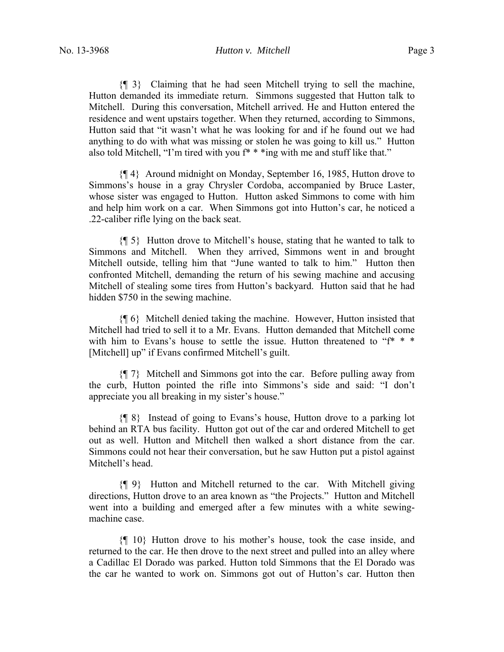{¶ 3} Claiming that he had seen Mitchell trying to sell the machine, Hutton demanded its immediate return. Simmons suggested that Hutton talk to Mitchell. During this conversation, Mitchell arrived. He and Hutton entered the residence and went upstairs together. When they returned, according to Simmons, Hutton said that "it wasn't what he was looking for and if he found out we had anything to do with what was missing or stolen he was going to kill us." Hutton also told Mitchell, "I'm tired with you f\* \* \*ing with me and stuff like that."

{¶ 4} Around midnight on Monday, September 16, 1985, Hutton drove to Simmons's house in a gray Chrysler Cordoba, accompanied by Bruce Laster, whose sister was engaged to Hutton. Hutton asked Simmons to come with him and help him work on a car. When Simmons got into Hutton's car, he noticed a .22-caliber rifle lying on the back seat.

{¶ 5} Hutton drove to Mitchell's house, stating that he wanted to talk to Simmons and Mitchell. When they arrived, Simmons went in and brought Mitchell outside, telling him that "June wanted to talk to him." Hutton then confronted Mitchell, demanding the return of his sewing machine and accusing Mitchell of stealing some tires from Hutton's backyard. Hutton said that he had hidden \$750 in the sewing machine.

{¶ 6} Mitchell denied taking the machine. However, Hutton insisted that Mitchell had tried to sell it to a Mr. Evans. Hutton demanded that Mitchell come with him to Evans's house to settle the issue. Hutton threatened to "f<sup>\*</sup> \* \* [Mitchell] up" if Evans confirmed Mitchell's guilt.

{¶ 7} Mitchell and Simmons got into the car. Before pulling away from the curb, Hutton pointed the rifle into Simmons's side and said: "I don't appreciate you all breaking in my sister's house."

{¶ 8} Instead of going to Evans's house, Hutton drove to a parking lot behind an RTA bus facility. Hutton got out of the car and ordered Mitchell to get out as well. Hutton and Mitchell then walked a short distance from the car. Simmons could not hear their conversation, but he saw Hutton put a pistol against Mitchell's head.

{¶ 9} Hutton and Mitchell returned to the car. With Mitchell giving directions, Hutton drove to an area known as "the Projects." Hutton and Mitchell went into a building and emerged after a few minutes with a white sewingmachine case.

{¶ 10} Hutton drove to his mother's house, took the case inside, and returned to the car. He then drove to the next street and pulled into an alley where a Cadillac El Dorado was parked. Hutton told Simmons that the El Dorado was the car he wanted to work on. Simmons got out of Hutton's car. Hutton then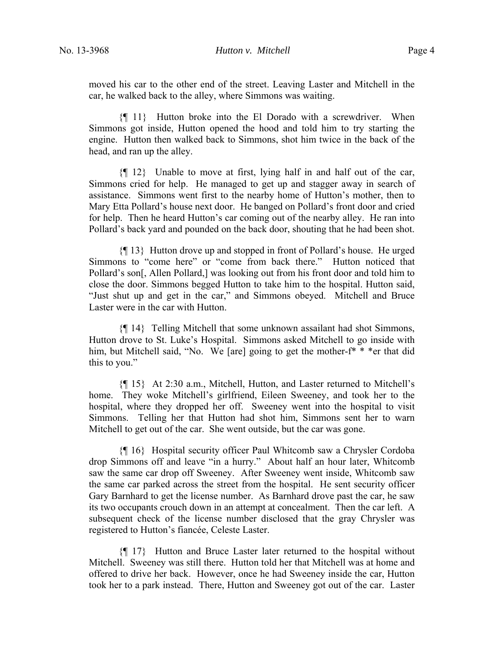moved his car to the other end of the street. Leaving Laster and Mitchell in the car, he walked back to the alley, where Simmons was waiting.

{¶ 11} Hutton broke into the El Dorado with a screwdriver. When Simmons got inside, Hutton opened the hood and told him to try starting the engine. Hutton then walked back to Simmons, shot him twice in the back of the head, and ran up the alley.

{¶ 12} Unable to move at first, lying half in and half out of the car, Simmons cried for help. He managed to get up and stagger away in search of assistance. Simmons went first to the nearby home of Hutton's mother, then to Mary Etta Pollard's house next door. He banged on Pollard's front door and cried for help. Then he heard Hutton's car coming out of the nearby alley. He ran into Pollard's back yard and pounded on the back door, shouting that he had been shot.

{¶ 13} Hutton drove up and stopped in front of Pollard's house. He urged Simmons to "come here" or "come from back there." Hutton noticed that Pollard's son[, Allen Pollard,] was looking out from his front door and told him to close the door. Simmons begged Hutton to take him to the hospital. Hutton said, "Just shut up and get in the car," and Simmons obeyed. Mitchell and Bruce Laster were in the car with Hutton.

{¶ 14} Telling Mitchell that some unknown assailant had shot Simmons, Hutton drove to St. Luke's Hospital. Simmons asked Mitchell to go inside with him, but Mitchell said, "No. We [are] going to get the mother-f<sup>\*</sup> \* \*er that did this to you."

{¶ 15} At 2:30 a.m., Mitchell, Hutton, and Laster returned to Mitchell's home. They woke Mitchell's girlfriend, Eileen Sweeney, and took her to the hospital, where they dropped her off. Sweeney went into the hospital to visit Simmons. Telling her that Hutton had shot him, Simmons sent her to warn Mitchell to get out of the car. She went outside, but the car was gone.

{¶ 16} Hospital security officer Paul Whitcomb saw a Chrysler Cordoba drop Simmons off and leave "in a hurry." About half an hour later, Whitcomb saw the same car drop off Sweeney. After Sweeney went inside, Whitcomb saw the same car parked across the street from the hospital. He sent security officer Gary Barnhard to get the license number. As Barnhard drove past the car, he saw its two occupants crouch down in an attempt at concealment. Then the car left. A subsequent check of the license number disclosed that the gray Chrysler was registered to Hutton's fiancée, Celeste Laster.

{¶ 17} Hutton and Bruce Laster later returned to the hospital without Mitchell. Sweeney was still there. Hutton told her that Mitchell was at home and offered to drive her back. However, once he had Sweeney inside the car, Hutton took her to a park instead. There, Hutton and Sweeney got out of the car. Laster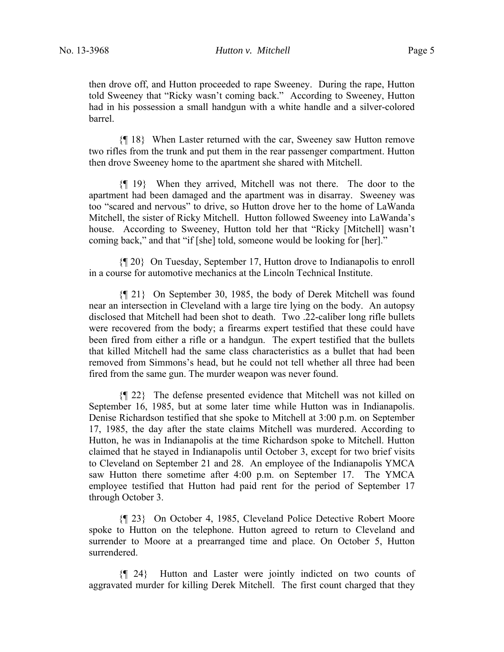then drove off, and Hutton proceeded to rape Sweeney. During the rape, Hutton told Sweeney that "Ricky wasn't coming back." According to Sweeney, Hutton had in his possession a small handgun with a white handle and a silver-colored barrel.

{¶ 18} When Laster returned with the car, Sweeney saw Hutton remove two rifles from the trunk and put them in the rear passenger compartment. Hutton then drove Sweeney home to the apartment she shared with Mitchell.

{¶ 19} When they arrived, Mitchell was not there. The door to the apartment had been damaged and the apartment was in disarray. Sweeney was too "scared and nervous" to drive, so Hutton drove her to the home of LaWanda Mitchell, the sister of Ricky Mitchell. Hutton followed Sweeney into LaWanda's house. According to Sweeney, Hutton told her that "Ricky [Mitchell] wasn't coming back," and that "if [she] told, someone would be looking for [her]."

{¶ 20} On Tuesday, September 17, Hutton drove to Indianapolis to enroll in a course for automotive mechanics at the Lincoln Technical Institute.

{¶ 21} On September 30, 1985, the body of Derek Mitchell was found near an intersection in Cleveland with a large tire lying on the body. An autopsy disclosed that Mitchell had been shot to death. Two .22-caliber long rifle bullets were recovered from the body; a firearms expert testified that these could have been fired from either a rifle or a handgun. The expert testified that the bullets that killed Mitchell had the same class characteristics as a bullet that had been removed from Simmons's head, but he could not tell whether all three had been fired from the same gun. The murder weapon was never found.

{¶ 22} The defense presented evidence that Mitchell was not killed on September 16, 1985, but at some later time while Hutton was in Indianapolis. Denise Richardson testified that she spoke to Mitchell at 3:00 p.m. on September 17, 1985, the day after the state claims Mitchell was murdered. According to Hutton, he was in Indianapolis at the time Richardson spoke to Mitchell. Hutton claimed that he stayed in Indianapolis until October 3, except for two brief visits to Cleveland on September 21 and 28. An employee of the Indianapolis YMCA saw Hutton there sometime after 4:00 p.m. on September 17. The YMCA employee testified that Hutton had paid rent for the period of September 17 through October 3.

{¶ 23} On October 4, 1985, Cleveland Police Detective Robert Moore spoke to Hutton on the telephone. Hutton agreed to return to Cleveland and surrender to Moore at a prearranged time and place. On October 5, Hutton surrendered.

{¶ 24} Hutton and Laster were jointly indicted on two counts of aggravated murder for killing Derek Mitchell. The first count charged that they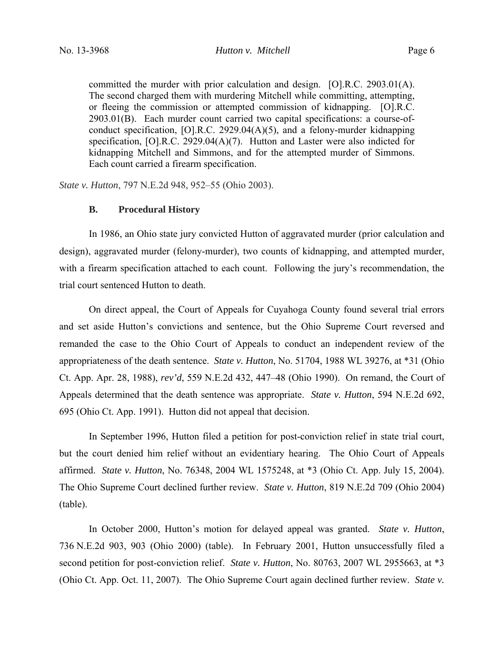committed the murder with prior calculation and design. [O].R.C. 2903.01(A). The second charged them with murdering Mitchell while committing, attempting, or fleeing the commission or attempted commission of kidnapping. [O].R.C. 2903.01(B). Each murder count carried two capital specifications: a course-ofconduct specification, [O].R.C. 2929.04(A)(5), and a felony-murder kidnapping specification, [O].R.C. 2929.04(A)(7). Hutton and Laster were also indicted for kidnapping Mitchell and Simmons, and for the attempted murder of Simmons. Each count carried a firearm specification.

*State v. Hutton*, 797 N.E.2d 948, 952–55 (Ohio 2003).

### **B. Procedural History**

In 1986, an Ohio state jury convicted Hutton of aggravated murder (prior calculation and design), aggravated murder (felony-murder), two counts of kidnapping, and attempted murder, with a firearm specification attached to each count. Following the jury's recommendation, the trial court sentenced Hutton to death.

On direct appeal, the Court of Appeals for Cuyahoga County found several trial errors and set aside Hutton's convictions and sentence, but the Ohio Supreme Court reversed and remanded the case to the Ohio Court of Appeals to conduct an independent review of the appropriateness of the death sentence. *State v. Hutton*, No. 51704, 1988 WL 39276, at \*31 (Ohio Ct. App. Apr. 28, 1988), *rev'd*, 559 N.E.2d 432, 447–48 (Ohio 1990). On remand, the Court of Appeals determined that the death sentence was appropriate. *State v. Hutton*, 594 N.E.2d 692, 695 (Ohio Ct. App. 1991). Hutton did not appeal that decision.

In September 1996, Hutton filed a petition for post-conviction relief in state trial court, but the court denied him relief without an evidentiary hearing. The Ohio Court of Appeals affirmed. *State v. Hutton*, No. 76348, 2004 WL 1575248, at \*3 (Ohio Ct. App. July 15, 2004). The Ohio Supreme Court declined further review. *State v. Hutton*, 819 N.E.2d 709 (Ohio 2004) (table).

In October 2000, Hutton's motion for delayed appeal was granted. *State v. Hutton*, 736 N.E.2d 903, 903 (Ohio 2000) (table). In February 2001, Hutton unsuccessfully filed a second petition for post-conviction relief. *State v. Hutton*, No. 80763, 2007 WL 2955663, at \*3 (Ohio Ct. App. Oct. 11, 2007). The Ohio Supreme Court again declined further review. *State v.*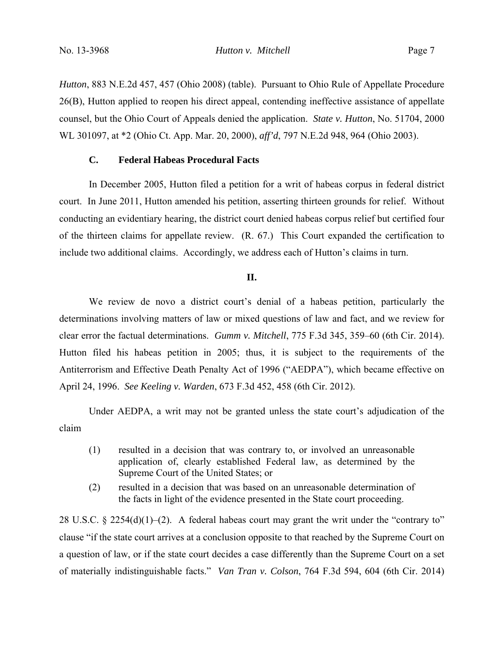No. 13-3968 *Hutton v. Mitchell* Page 7

*Hutton*, 883 N.E.2d 457, 457 (Ohio 2008) (table). Pursuant to Ohio Rule of Appellate Procedure 26(B), Hutton applied to reopen his direct appeal, contending ineffective assistance of appellate counsel, but the Ohio Court of Appeals denied the application. *State v. Hutton*, No. 51704, 2000 WL 301097, at \*2 (Ohio Ct. App. Mar. 20, 2000), *aff'd*, 797 N.E.2d 948, 964 (Ohio 2003).

## **C. Federal Habeas Procedural Facts**

In December 2005, Hutton filed a petition for a writ of habeas corpus in federal district court. In June 2011, Hutton amended his petition, asserting thirteen grounds for relief. Without conducting an evidentiary hearing, the district court denied habeas corpus relief but certified four of the thirteen claims for appellate review. (R. 67.) This Court expanded the certification to include two additional claims. Accordingly, we address each of Hutton's claims in turn.

## **II.**

We review de novo a district court's denial of a habeas petition, particularly the determinations involving matters of law or mixed questions of law and fact, and we review for clear error the factual determinations. *Gumm v. Mitchell*, 775 F.3d 345, 359–60 (6th Cir. 2014). Hutton filed his habeas petition in 2005; thus, it is subject to the requirements of the Antiterrorism and Effective Death Penalty Act of 1996 ("AEDPA"), which became effective on April 24, 1996. *See Keeling v. Warden*, 673 F.3d 452, 458 (6th Cir. 2012).

Under AEDPA, a writ may not be granted unless the state court's adjudication of the claim

- (1) resulted in a decision that was contrary to, or involved an unreasonable application of, clearly established Federal law, as determined by the Supreme Court of the United States; or
- (2) resulted in a decision that was based on an unreasonable determination of the facts in light of the evidence presented in the State court proceeding.

28 U.S.C. § 2254(d)(1)–(2). A federal habeas court may grant the writ under the "contrary to" clause "if the state court arrives at a conclusion opposite to that reached by the Supreme Court on a question of law, or if the state court decides a case differently than the Supreme Court on a set of materially indistinguishable facts." *Van Tran v. Colson*, 764 F.3d 594, 604 (6th Cir. 2014)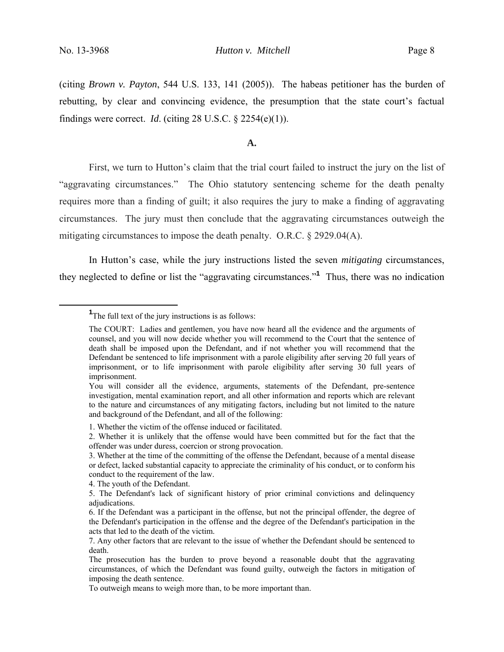(citing *Brown v. Payton*, 544 U.S. 133, 141 (2005)). The habeas petitioner has the burden of rebutting, by clear and convincing evidence, the presumption that the state court's factual findings were correct. *Id*. (citing 28 U.S.C. § 2254(e)(1)).

#### **A.**

First, we turn to Hutton's claim that the trial court failed to instruct the jury on the list of "aggravating circumstances." The Ohio statutory sentencing scheme for the death penalty requires more than a finding of guilt; it also requires the jury to make a finding of aggravating circumstances. The jury must then conclude that the aggravating circumstances outweigh the mitigating circumstances to impose the death penalty. O.R.C. § 2929.04(A).

In Hutton's case, while the jury instructions listed the seven *mitigating* circumstances, they neglected to define or list the "aggravating circumstances."**<sup>1</sup>** Thus, there was no indication

<sup>&</sup>lt;u>1</u> <sup>1</sup>The full text of the jury instructions is as follows:

The COURT: Ladies and gentlemen, you have now heard all the evidence and the arguments of counsel, and you will now decide whether you will recommend to the Court that the sentence of death shall be imposed upon the Defendant, and if not whether you will recommend that the Defendant be sentenced to life imprisonment with a parole eligibility after serving 20 full years of imprisonment, or to life imprisonment with parole eligibility after serving 30 full years of imprisonment.

You will consider all the evidence, arguments, statements of the Defendant, pre-sentence investigation, mental examination report, and all other information and reports which are relevant to the nature and circumstances of any mitigating factors, including but not limited to the nature and background of the Defendant, and all of the following:

<sup>1.</sup> Whether the victim of the offense induced or facilitated.

<sup>2.</sup> Whether it is unlikely that the offense would have been committed but for the fact that the offender was under duress, coercion or strong provocation.

<sup>3.</sup> Whether at the time of the committing of the offense the Defendant, because of a mental disease or defect, lacked substantial capacity to appreciate the criminality of his conduct, or to conform his conduct to the requirement of the law.

<sup>4.</sup> The youth of the Defendant.

<sup>5.</sup> The Defendant's lack of significant history of prior criminal convictions and delinquency adjudications.

<sup>6.</sup> If the Defendant was a participant in the offense, but not the principal offender, the degree of the Defendant's participation in the offense and the degree of the Defendant's participation in the acts that led to the death of the victim.

<sup>7.</sup> Any other factors that are relevant to the issue of whether the Defendant should be sentenced to death.

The prosecution has the burden to prove beyond a reasonable doubt that the aggravating circumstances, of which the Defendant was found guilty, outweigh the factors in mitigation of imposing the death sentence.

To outweigh means to weigh more than, to be more important than.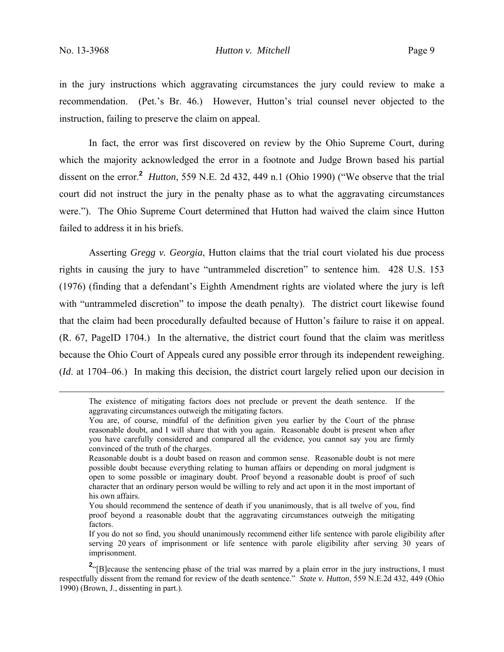in the jury instructions which aggravating circumstances the jury could review to make a recommendation. (Pet.'s Br. 46.) However, Hutton's trial counsel never objected to the instruction, failing to preserve the claim on appeal.

In fact, the error was first discovered on review by the Ohio Supreme Court, during which the majority acknowledged the error in a footnote and Judge Brown based his partial dissent on the error.<sup>2</sup> *Hutton*, 559 N.E. 2d 432, 449 n.1 (Ohio 1990) ("We observe that the trial court did not instruct the jury in the penalty phase as to what the aggravating circumstances were."). The Ohio Supreme Court determined that Hutton had waived the claim since Hutton failed to address it in his briefs.

Asserting *Gregg v. Georgia*, Hutton claims that the trial court violated his due process rights in causing the jury to have "untrammeled discretion" to sentence him. 428 U.S. 153 (1976) (finding that a defendant's Eighth Amendment rights are violated where the jury is left with "untrammeled discretion" to impose the death penalty). The district court likewise found that the claim had been procedurally defaulted because of Hutton's failure to raise it on appeal. (R. 67, PageID 1704.) In the alternative, the district court found that the claim was meritless because the Ohio Court of Appeals cured any possible error through its independent reweighing. (*Id*. at 1704–06.) In making this decision, the district court largely relied upon our decision in

The existence of mitigating factors does not preclude or prevent the death sentence. If the aggravating circumstances outweigh the mitigating factors.

You are, of course, mindful of the definition given you earlier by the Court of the phrase reasonable doubt, and I will share that with you again. Reasonable doubt is present when after you have carefully considered and compared all the evidence, you cannot say you are firmly convinced of the truth of the charges.

Reasonable doubt is a doubt based on reason and common sense. Reasonable doubt is not mere possible doubt because everything relating to human affairs or depending on moral judgment is open to some possible or imaginary doubt. Proof beyond a reasonable doubt is proof of such character that an ordinary person would be willing to rely and act upon it in the most important of his own affairs.

You should recommend the sentence of death if you unanimously, that is all twelve of you, find proof beyond a reasonable doubt that the aggravating circumstances outweigh the mitigating factors.

If you do not so find, you should unanimously recommend either life sentence with parole eligibility after serving 20 years of imprisonment or life sentence with parole eligibility after serving 30 years of imprisonment.

<sup>&</sup>lt;sup>2</sup><sup>"</sup>[B]ecause the sentencing phase of the trial was marred by a plain error in the jury instructions, I must respectfully dissent from the remand for review of the death sentence." *State v. Hutton*, 559 N.E.2d 432, 449 (Ohio 1990) (Brown, J., dissenting in part.).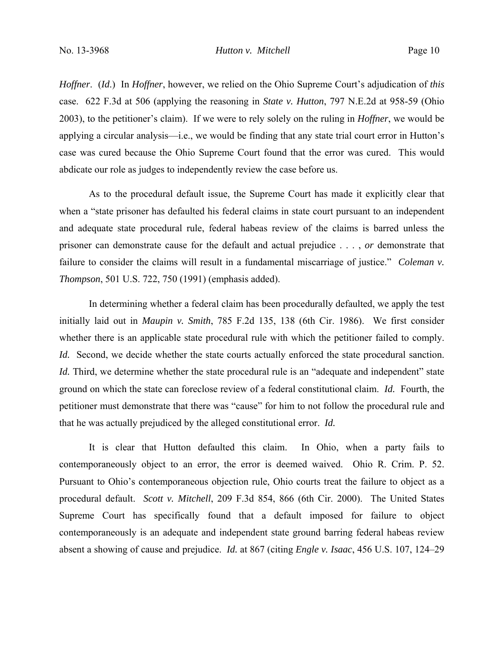*Hoffner*. (*Id*.) In *Hoffner*, however, we relied on the Ohio Supreme Court's adjudication of *this* case. 622 F.3d at 506 (applying the reasoning in *State v. Hutton*, 797 N.E.2d at 958-59 (Ohio 2003), to the petitioner's claim). If we were to rely solely on the ruling in *Hoffner*, we would be applying a circular analysis—i.e., we would be finding that any state trial court error in Hutton's case was cured because the Ohio Supreme Court found that the error was cured. This would abdicate our role as judges to independently review the case before us.

As to the procedural default issue, the Supreme Court has made it explicitly clear that when a "state prisoner has defaulted his federal claims in state court pursuant to an independent and adequate state procedural rule, federal habeas review of the claims is barred unless the prisoner can demonstrate cause for the default and actual prejudice . . . , *or* demonstrate that failure to consider the claims will result in a fundamental miscarriage of justice." *Coleman v. Thompson*, 501 U.S. 722, 750 (1991) (emphasis added).

In determining whether a federal claim has been procedurally defaulted, we apply the test initially laid out in *Maupin v. Smith*, 785 F.2d 135, 138 (6th Cir. 1986). We first consider whether there is an applicable state procedural rule with which the petitioner failed to comply. *Id.* Second, we decide whether the state courts actually enforced the state procedural sanction. *Id.* Third, we determine whether the state procedural rule is an "adequate and independent" state ground on which the state can foreclose review of a federal constitutional claim. *Id.* Fourth, the petitioner must demonstrate that there was "cause" for him to not follow the procedural rule and that he was actually prejudiced by the alleged constitutional error. *Id.*

It is clear that Hutton defaulted this claim. In Ohio, when a party fails to contemporaneously object to an error, the error is deemed waived. Ohio R. Crim. P. 52. Pursuant to Ohio's contemporaneous objection rule, Ohio courts treat the failure to object as a procedural default. *Scott v. Mitchell*, 209 F.3d 854, 866 (6th Cir. 2000). The United States Supreme Court has specifically found that a default imposed for failure to object contemporaneously is an adequate and independent state ground barring federal habeas review absent a showing of cause and prejudice. *Id.* at 867 (citing *Engle v. Isaac*, 456 U.S. 107, 124–29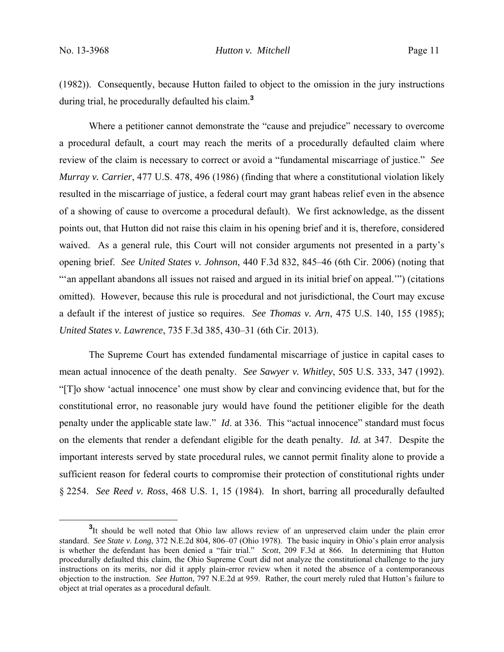(1982)). Consequently, because Hutton failed to object to the omission in the jury instructions during trial, he procedurally defaulted his claim.**<sup>3</sup>**

Where a petitioner cannot demonstrate the "cause and prejudice" necessary to overcome a procedural default, a court may reach the merits of a procedurally defaulted claim where review of the claim is necessary to correct or avoid a "fundamental miscarriage of justice." *See Murray v. Carrier*, 477 U.S. 478, 496 (1986) (finding that where a constitutional violation likely resulted in the miscarriage of justice, a federal court may grant habeas relief even in the absence of a showing of cause to overcome a procedural default). We first acknowledge, as the dissent points out, that Hutton did not raise this claim in his opening brief and it is, therefore, considered waived. As a general rule, this Court will not consider arguments not presented in a party's opening brief. *See United States v. Johnson*, 440 F.3d 832, 845–46 (6th Cir. 2006) (noting that "'an appellant abandons all issues not raised and argued in its initial brief on appeal.'") (citations omitted). However, because this rule is procedural and not jurisdictional, the Court may excuse a default if the interest of justice so requires. *See Thomas v. Arn*, 475 U.S. 140, 155 (1985); *United States v. Lawrence*, 735 F.3d 385, 430–31 (6th Cir. 2013).

The Supreme Court has extended fundamental miscarriage of justice in capital cases to mean actual innocence of the death penalty. *See Sawyer v. Whitley*, 505 U.S. 333, 347 (1992). "[T]o show 'actual innocence' one must show by clear and convincing evidence that, but for the constitutional error, no reasonable jury would have found the petitioner eligible for the death penalty under the applicable state law." *Id*. at 336. This "actual innocence" standard must focus on the elements that render a defendant eligible for the death penalty. *Id.* at 347. Despite the important interests served by state procedural rules, we cannot permit finality alone to provide a sufficient reason for federal courts to compromise their protection of constitutional rights under § 2254. *See Reed v. Ross*, 468 U.S. 1, 15 (1984). In short, barring all procedurally defaulted

**<sup>3</sup>** <sup>3</sup>It should be well noted that Ohio law allows review of an unpreserved claim under the plain error standard. *See State v. Long*, 372 N.E.2d 804, 806–07 (Ohio 1978). The basic inquiry in Ohio's plain error analysis is whether the defendant has been denied a "fair trial." *Scott*, 209 F.3d at 866. In determining that Hutton procedurally defaulted this claim, the Ohio Supreme Court did not analyze the constitutional challenge to the jury instructions on its merits, nor did it apply plain-error review when it noted the absence of a contemporaneous objection to the instruction. *See Hutton*, 797 N.E.2d at 959. Rather, the court merely ruled that Hutton's failure to object at trial operates as a procedural default.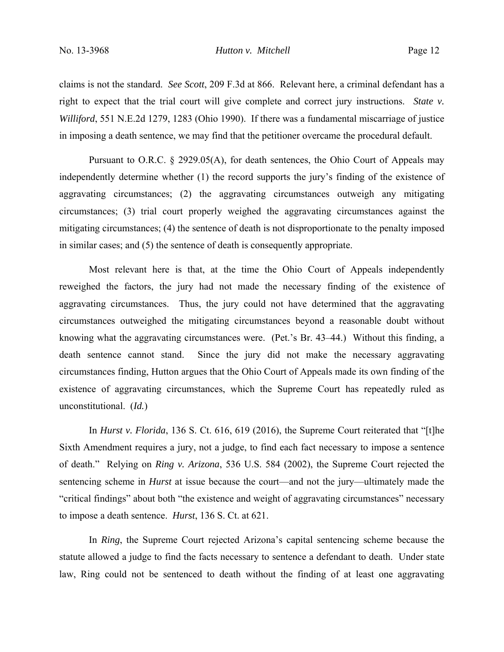claims is not the standard. *See Scott*, 209 F.3d at 866. Relevant here, a criminal defendant has a right to expect that the trial court will give complete and correct jury instructions. *State v. Williford*, 551 N.E.2d 1279, 1283 (Ohio 1990). If there was a fundamental miscarriage of justice in imposing a death sentence, we may find that the petitioner overcame the procedural default.

Pursuant to O.R.C. § 2929.05(A), for death sentences, the Ohio Court of Appeals may independently determine whether (1) the record supports the jury's finding of the existence of aggravating circumstances; (2) the aggravating circumstances outweigh any mitigating circumstances; (3) trial court properly weighed the aggravating circumstances against the mitigating circumstances; (4) the sentence of death is not disproportionate to the penalty imposed in similar cases; and (5) the sentence of death is consequently appropriate.

Most relevant here is that, at the time the Ohio Court of Appeals independently reweighed the factors, the jury had not made the necessary finding of the existence of aggravating circumstances. Thus, the jury could not have determined that the aggravating circumstances outweighed the mitigating circumstances beyond a reasonable doubt without knowing what the aggravating circumstances were. (Pet.'s Br. 43–44.) Without this finding, a death sentence cannot stand. Since the jury did not make the necessary aggravating circumstances finding, Hutton argues that the Ohio Court of Appeals made its own finding of the existence of aggravating circumstances, which the Supreme Court has repeatedly ruled as unconstitutional. (*Id.*)

In *Hurst v. Florida*, 136 S. Ct. 616, 619 (2016), the Supreme Court reiterated that "[t]he Sixth Amendment requires a jury, not a judge, to find each fact necessary to impose a sentence of death." Relying on *Ring v. Arizona*, 536 U.S. 584 (2002), the Supreme Court rejected the sentencing scheme in *Hurst* at issue because the court—and not the jury—ultimately made the "critical findings" about both "the existence and weight of aggravating circumstances" necessary to impose a death sentence. *Hurst*, 136 S. Ct. at 621.

In *Ring*, the Supreme Court rejected Arizona's capital sentencing scheme because the statute allowed a judge to find the facts necessary to sentence a defendant to death. Under state law, Ring could not be sentenced to death without the finding of at least one aggravating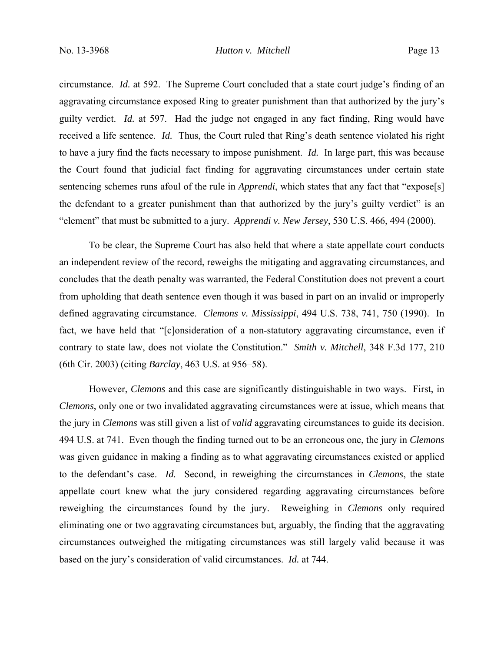circumstance. *Id.* at 592. The Supreme Court concluded that a state court judge's finding of an aggravating circumstance exposed Ring to greater punishment than that authorized by the jury's guilty verdict. *Id.* at 597. Had the judge not engaged in any fact finding, Ring would have received a life sentence. *Id.* Thus, the Court ruled that Ring's death sentence violated his right to have a jury find the facts necessary to impose punishment. *Id.* In large part, this was because the Court found that judicial fact finding for aggravating circumstances under certain state sentencing schemes runs afoul of the rule in *Apprendi*, which states that any fact that "expose[s] the defendant to a greater punishment than that authorized by the jury's guilty verdict" is an "element" that must be submitted to a jury. *Apprendi v. New Jersey*, 530 U.S. 466, 494 (2000).

To be clear, the Supreme Court has also held that where a state appellate court conducts an independent review of the record, reweighs the mitigating and aggravating circumstances, and concludes that the death penalty was warranted, the Federal Constitution does not prevent a court from upholding that death sentence even though it was based in part on an invalid or improperly defined aggravating circumstance. *Clemons v. Mississippi*, 494 U.S. 738, 741, 750 (1990). In fact, we have held that "[c]onsideration of a non-statutory aggravating circumstance, even if contrary to state law, does not violate the Constitution." *Smith v. Mitchell*, 348 F.3d 177, 210 (6th Cir. 2003) (citing *Barclay*, 463 U.S. at 956–58).

However, *Clemons* and this case are significantly distinguishable in two ways. First, in *Clemons*, only one or two invalidated aggravating circumstances were at issue, which means that the jury in *Clemons* was still given a list of *valid* aggravating circumstances to guide its decision. 494 U.S. at 741. Even though the finding turned out to be an erroneous one, the jury in *Clemons*  was given guidance in making a finding as to what aggravating circumstances existed or applied to the defendant's case. *Id.* Second, in reweighing the circumstances in *Clemons*, the state appellate court knew what the jury considered regarding aggravating circumstances before reweighing the circumstances found by the jury. Reweighing in *Clemons* only required eliminating one or two aggravating circumstances but, arguably, the finding that the aggravating circumstances outweighed the mitigating circumstances was still largely valid because it was based on the jury's consideration of valid circumstances. *Id.* at 744.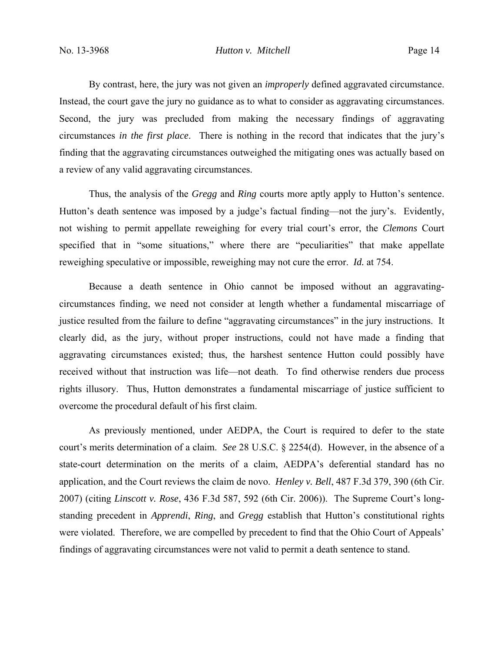By contrast, here, the jury was not given an *improperly* defined aggravated circumstance. Instead, the court gave the jury no guidance as to what to consider as aggravating circumstances. Second, the jury was precluded from making the necessary findings of aggravating circumstances *in the first place*. There is nothing in the record that indicates that the jury's finding that the aggravating circumstances outweighed the mitigating ones was actually based on a review of any valid aggravating circumstances.

Thus, the analysis of the *Gregg* and *Ring* courts more aptly apply to Hutton's sentence. Hutton's death sentence was imposed by a judge's factual finding—not the jury's. Evidently, not wishing to permit appellate reweighing for every trial court's error, the *Clemons* Court specified that in "some situations," where there are "peculiarities" that make appellate reweighing speculative or impossible, reweighing may not cure the error. *Id.* at 754.

Because a death sentence in Ohio cannot be imposed without an aggravatingcircumstances finding, we need not consider at length whether a fundamental miscarriage of justice resulted from the failure to define "aggravating circumstances" in the jury instructions. It clearly did, as the jury, without proper instructions, could not have made a finding that aggravating circumstances existed; thus, the harshest sentence Hutton could possibly have received without that instruction was life—not death. To find otherwise renders due process rights illusory. Thus, Hutton demonstrates a fundamental miscarriage of justice sufficient to overcome the procedural default of his first claim.

As previously mentioned, under AEDPA, the Court is required to defer to the state court's merits determination of a claim. *See* 28 U.S.C. § 2254(d). However, in the absence of a state-court determination on the merits of a claim, AEDPA's deferential standard has no application, and the Court reviews the claim de novo. *Henley v. Bell*, 487 F.3d 379, 390 (6th Cir. 2007) (citing *Linscott v. Rose*, 436 F.3d 587, 592 (6th Cir. 2006)). The Supreme Court's longstanding precedent in *Apprendi*, *Ring*, and *Gregg* establish that Hutton's constitutional rights were violated. Therefore, we are compelled by precedent to find that the Ohio Court of Appeals' findings of aggravating circumstances were not valid to permit a death sentence to stand.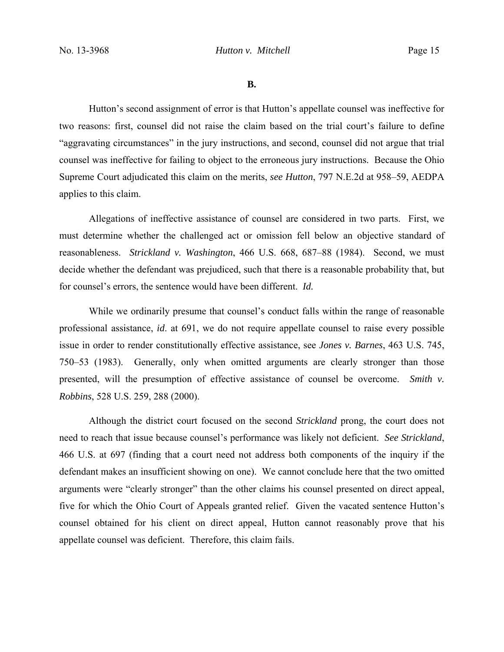**B.**

 Hutton's second assignment of error is that Hutton's appellate counsel was ineffective for two reasons: first, counsel did not raise the claim based on the trial court's failure to define "aggravating circumstances" in the jury instructions, and second, counsel did not argue that trial counsel was ineffective for failing to object to the erroneous jury instructions. Because the Ohio Supreme Court adjudicated this claim on the merits, *see Hutton*, 797 N.E.2d at 958–59, AEDPA applies to this claim.

Allegations of ineffective assistance of counsel are considered in two parts. First, we must determine whether the challenged act or omission fell below an objective standard of reasonableness. *Strickland v. Washington*, 466 U.S. 668, 687–88 (1984). Second, we must decide whether the defendant was prejudiced, such that there is a reasonable probability that, but for counsel's errors, the sentence would have been different. *Id.*

While we ordinarily presume that counsel's conduct falls within the range of reasonable professional assistance, *id*. at 691, we do not require appellate counsel to raise every possible issue in order to render constitutionally effective assistance, see *Jones v. Barnes*, 463 U.S. 745, 750–53 (1983). Generally, only when omitted arguments are clearly stronger than those presented, will the presumption of effective assistance of counsel be overcome. *Smith v. Robbins*, 528 U.S. 259, 288 (2000).

Although the district court focused on the second *Strickland* prong, the court does not need to reach that issue because counsel's performance was likely not deficient. *See Strickland*, 466 U.S. at 697 (finding that a court need not address both components of the inquiry if the defendant makes an insufficient showing on one). We cannot conclude here that the two omitted arguments were "clearly stronger" than the other claims his counsel presented on direct appeal, five for which the Ohio Court of Appeals granted relief. Given the vacated sentence Hutton's counsel obtained for his client on direct appeal, Hutton cannot reasonably prove that his appellate counsel was deficient. Therefore, this claim fails.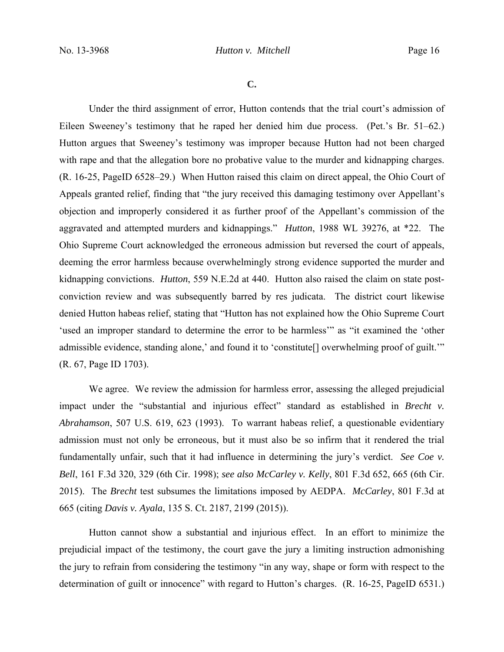**C.**

Under the third assignment of error, Hutton contends that the trial court's admission of Eileen Sweeney's testimony that he raped her denied him due process. (Pet.'s Br. 51–62.) Hutton argues that Sweeney's testimony was improper because Hutton had not been charged with rape and that the allegation bore no probative value to the murder and kidnapping charges. (R. 16-25, PageID 6528–29.) When Hutton raised this claim on direct appeal, the Ohio Court of Appeals granted relief, finding that "the jury received this damaging testimony over Appellant's objection and improperly considered it as further proof of the Appellant's commission of the aggravated and attempted murders and kidnappings." *Hutton*, 1988 WL 39276, at \*22. The Ohio Supreme Court acknowledged the erroneous admission but reversed the court of appeals, deeming the error harmless because overwhelmingly strong evidence supported the murder and kidnapping convictions. *Hutton*, 559 N.E.2d at 440. Hutton also raised the claim on state postconviction review and was subsequently barred by res judicata. The district court likewise denied Hutton habeas relief, stating that "Hutton has not explained how the Ohio Supreme Court 'used an improper standard to determine the error to be harmless'" as "it examined the 'other admissible evidence, standing alone,' and found it to 'constitute[] overwhelming proof of guilt.'" (R. 67, Page ID 1703).

We agree. We review the admission for harmless error, assessing the alleged prejudicial impact under the "substantial and injurious effect" standard as established in *Brecht v. Abrahamson*, 507 U.S. 619, 623 (1993). To warrant habeas relief, a questionable evidentiary admission must not only be erroneous, but it must also be so infirm that it rendered the trial fundamentally unfair, such that it had influence in determining the jury's verdict. *See Coe v. Bell*, 161 F.3d 320, 329 (6th Cir. 1998); *see also McCarley v. Kelly*, 801 F.3d 652, 665 (6th Cir. 2015). The *Brecht* test subsumes the limitations imposed by AEDPA. *McCarley*, 801 F.3d at 665 (citing *Davis v. Ayala*, 135 S. Ct. 2187, 2199 (2015)).

Hutton cannot show a substantial and injurious effect. In an effort to minimize the prejudicial impact of the testimony, the court gave the jury a limiting instruction admonishing the jury to refrain from considering the testimony "in any way, shape or form with respect to the determination of guilt or innocence" with regard to Hutton's charges. (R. 16-25, PageID 6531.)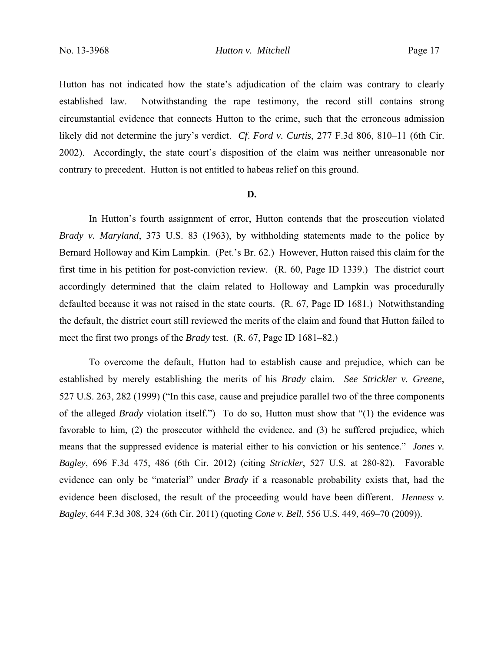Hutton has not indicated how the state's adjudication of the claim was contrary to clearly established law. Notwithstanding the rape testimony, the record still contains strong circumstantial evidence that connects Hutton to the crime, such that the erroneous admission likely did not determine the jury's verdict. *Cf*. *Ford v. Curtis*, 277 F.3d 806, 810–11 (6th Cir. 2002). Accordingly, the state court's disposition of the claim was neither unreasonable nor contrary to precedent. Hutton is not entitled to habeas relief on this ground.

#### **D.**

In Hutton's fourth assignment of error, Hutton contends that the prosecution violated *Brady v. Maryland*, 373 U.S. 83 (1963), by withholding statements made to the police by Bernard Holloway and Kim Lampkin. (Pet.'s Br. 62.) However, Hutton raised this claim for the first time in his petition for post-conviction review. (R. 60, Page ID 1339.) The district court accordingly determined that the claim related to Holloway and Lampkin was procedurally defaulted because it was not raised in the state courts. (R. 67, Page ID 1681.) Notwithstanding the default, the district court still reviewed the merits of the claim and found that Hutton failed to meet the first two prongs of the *Brady* test. (R. 67, Page ID 1681–82.)

 To overcome the default, Hutton had to establish cause and prejudice, which can be established by merely establishing the merits of his *Brady* claim. *See Strickler v. Greene*, 527 U.S. 263, 282 (1999) ("In this case, cause and prejudice parallel two of the three components of the alleged *Brady* violation itself.") To do so, Hutton must show that "(1) the evidence was favorable to him, (2) the prosecutor withheld the evidence, and (3) he suffered prejudice, which means that the suppressed evidence is material either to his conviction or his sentence." *Jones v. Bagley*, 696 F.3d 475, 486 (6th Cir. 2012) (citing *Strickler*, 527 U.S. at 280-82). Favorable evidence can only be "material" under *Brady* if a reasonable probability exists that, had the evidence been disclosed, the result of the proceeding would have been different. *Henness v. Bagley*, 644 F.3d 308, 324 (6th Cir. 2011) (quoting *Cone v. Bell*, 556 U.S. 449, 469–70 (2009)).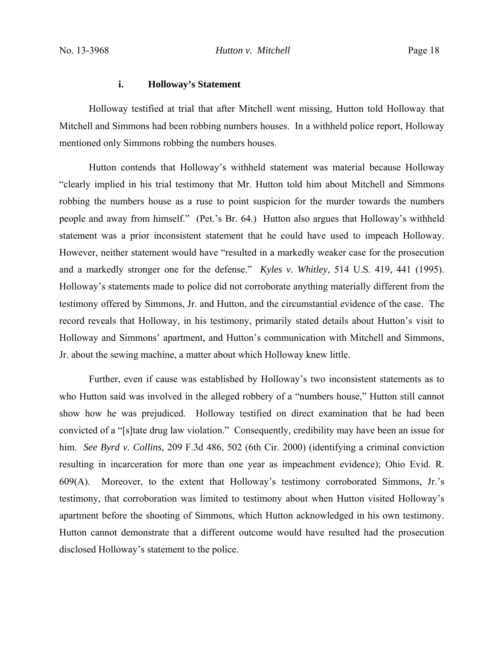#### **i. Holloway's Statement**

Holloway testified at trial that after Mitchell went missing, Hutton told Holloway that Mitchell and Simmons had been robbing numbers houses. In a withheld police report, Holloway mentioned only Simmons robbing the numbers houses.

Hutton contends that Holloway's withheld statement was material because Holloway "clearly implied in his trial testimony that Mr. Hutton told him about Mitchell and Simmons robbing the numbers house as a ruse to point suspicion for the murder towards the numbers people and away from himself." (Pet.'s Br. 64.) Hutton also argues that Holloway's withheld statement was a prior inconsistent statement that he could have used to impeach Holloway. However, neither statement would have "resulted in a markedly weaker case for the prosecution and a markedly stronger one for the defense." *Kyles v. Whitley*, 514 U.S. 419, 441 (1995). Holloway's statements made to police did not corroborate anything materially different from the testimony offered by Simmons, Jr. and Hutton, and the circumstantial evidence of the case. The record reveals that Holloway, in his testimony, primarily stated details about Hutton's visit to Holloway and Simmons' apartment, and Hutton's communication with Mitchell and Simmons, Jr. about the sewing machine, a matter about which Holloway knew little.

Further, even if cause was established by Holloway's two inconsistent statements as to who Hutton said was involved in the alleged robbery of a "numbers house," Hutton still cannot show how he was prejudiced. Holloway testified on direct examination that he had been convicted of a "[s]tate drug law violation." Consequently, credibility may have been an issue for him. *See Byrd v. Collins*, 209 F.3d 486, 502 (6th Cir. 2000) (identifying a criminal conviction resulting in incarceration for more than one year as impeachment evidence); Ohio Evid. R. 609(A). Moreover, to the extent that Holloway's testimony corroborated Simmons, Jr.'s testimony, that corroboration was limited to testimony about when Hutton visited Holloway's apartment before the shooting of Simmons, which Hutton acknowledged in his own testimony. Hutton cannot demonstrate that a different outcome would have resulted had the prosecution disclosed Holloway's statement to the police.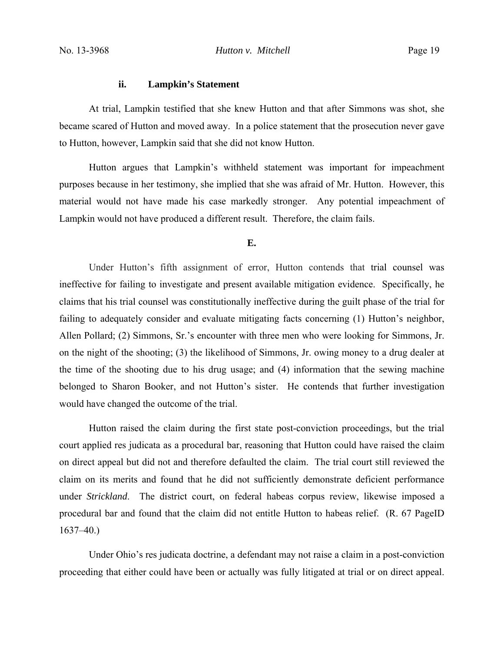## **ii. Lampkin's Statement**

At trial, Lampkin testified that she knew Hutton and that after Simmons was shot, she became scared of Hutton and moved away. In a police statement that the prosecution never gave to Hutton, however, Lampkin said that she did not know Hutton.

Hutton argues that Lampkin's withheld statement was important for impeachment purposes because in her testimony, she implied that she was afraid of Mr. Hutton. However, this material would not have made his case markedly stronger. Any potential impeachment of Lampkin would not have produced a different result. Therefore, the claim fails.

**E.**

Under Hutton's fifth assignment of error, Hutton contends that trial counsel was ineffective for failing to investigate and present available mitigation evidence. Specifically, he claims that his trial counsel was constitutionally ineffective during the guilt phase of the trial for failing to adequately consider and evaluate mitigating facts concerning (1) Hutton's neighbor, Allen Pollard; (2) Simmons, Sr.'s encounter with three men who were looking for Simmons, Jr. on the night of the shooting; (3) the likelihood of Simmons, Jr. owing money to a drug dealer at the time of the shooting due to his drug usage; and (4) information that the sewing machine belonged to Sharon Booker, and not Hutton's sister. He contends that further investigation would have changed the outcome of the trial.

Hutton raised the claim during the first state post-conviction proceedings, but the trial court applied res judicata as a procedural bar, reasoning that Hutton could have raised the claim on direct appeal but did not and therefore defaulted the claim. The trial court still reviewed the claim on its merits and found that he did not sufficiently demonstrate deficient performance under *Strickland*. The district court, on federal habeas corpus review, likewise imposed a procedural bar and found that the claim did not entitle Hutton to habeas relief. (R. 67 PageID  $1637 - 40.$ 

Under Ohio's res judicata doctrine, a defendant may not raise a claim in a post-conviction proceeding that either could have been or actually was fully litigated at trial or on direct appeal.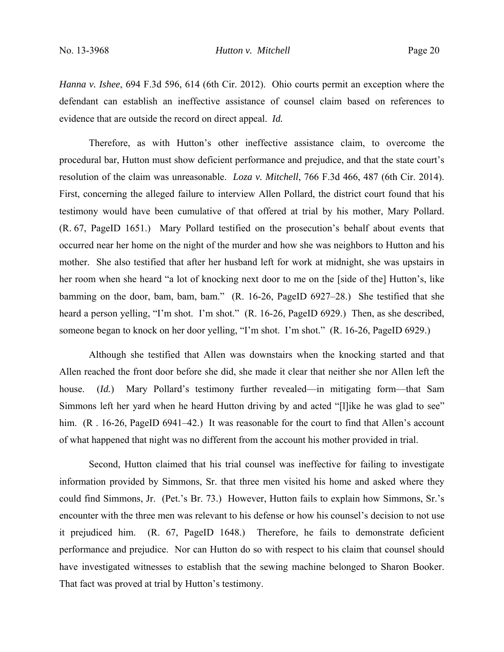*Hanna v. Ishee*, 694 F.3d 596, 614 (6th Cir. 2012). Ohio courts permit an exception where the defendant can establish an ineffective assistance of counsel claim based on references to evidence that are outside the record on direct appeal. *Id.*

Therefore, as with Hutton's other ineffective assistance claim, to overcome the procedural bar, Hutton must show deficient performance and prejudice, and that the state court's resolution of the claim was unreasonable. *Loza v. Mitchell*, 766 F.3d 466, 487 (6th Cir. 2014). First, concerning the alleged failure to interview Allen Pollard, the district court found that his testimony would have been cumulative of that offered at trial by his mother, Mary Pollard. (R. 67, PageID 1651.) Mary Pollard testified on the prosecution's behalf about events that occurred near her home on the night of the murder and how she was neighbors to Hutton and his mother. She also testified that after her husband left for work at midnight, she was upstairs in her room when she heard "a lot of knocking next door to me on the [side of the] Hutton's, like bamming on the door, bam, bam, bam." (R. 16-26, PageID 6927–28.) She testified that she heard a person yelling, "I'm shot. I'm shot." (R. 16-26, PageID 6929.) Then, as she described, someone began to knock on her door yelling, "I'm shot. I'm shot." (R. 16-26, PageID 6929.)

Although she testified that Allen was downstairs when the knocking started and that Allen reached the front door before she did, she made it clear that neither she nor Allen left the house. (*Id.*)Mary Pollard's testimony further revealed—in mitigating form—that Sam Simmons left her yard when he heard Hutton driving by and acted "[l]ike he was glad to see" him. (R. 16-26, PageID 6941–42.) It was reasonable for the court to find that Allen's account of what happened that night was no different from the account his mother provided in trial.

Second, Hutton claimed that his trial counsel was ineffective for failing to investigate information provided by Simmons, Sr. that three men visited his home and asked where they could find Simmons, Jr. (Pet.'s Br. 73.) However, Hutton fails to explain how Simmons, Sr.'s encounter with the three men was relevant to his defense or how his counsel's decision to not use it prejudiced him. (R. 67, PageID 1648.) Therefore, he fails to demonstrate deficient performance and prejudice. Nor can Hutton do so with respect to his claim that counsel should have investigated witnesses to establish that the sewing machine belonged to Sharon Booker. That fact was proved at trial by Hutton's testimony.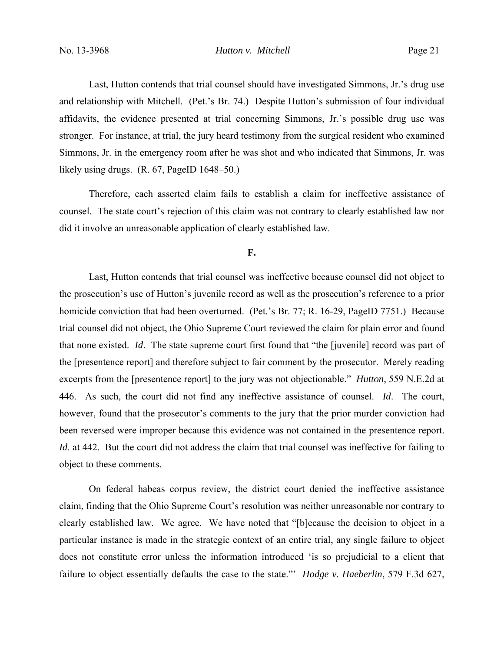Last, Hutton contends that trial counsel should have investigated Simmons, Jr.'s drug use and relationship with Mitchell. (Pet.'s Br. 74.) Despite Hutton's submission of four individual affidavits, the evidence presented at trial concerning Simmons, Jr.'s possible drug use was stronger. For instance, at trial, the jury heard testimony from the surgical resident who examined Simmons, Jr. in the emergency room after he was shot and who indicated that Simmons, Jr. was likely using drugs. (R. 67, PageID 1648–50.)

Therefore, each asserted claim fails to establish a claim for ineffective assistance of counsel. The state court's rejection of this claim was not contrary to clearly established law nor did it involve an unreasonable application of clearly established law.

### **F.**

 Last, Hutton contends that trial counsel was ineffective because counsel did not object to the prosecution's use of Hutton's juvenile record as well as the prosecution's reference to a prior homicide conviction that had been overturned. (Pet.'s Br. 77; R. 16-29, PageID 7751.) Because trial counsel did not object, the Ohio Supreme Court reviewed the claim for plain error and found that none existed. *Id*. The state supreme court first found that "the [juvenile] record was part of the [presentence report] and therefore subject to fair comment by the prosecutor. Merely reading excerpts from the [presentence report] to the jury was not objectionable." *Hutton*, 559 N.E.2d at 446. As such, the court did not find any ineffective assistance of counsel. *Id*. The court, however, found that the prosecutor's comments to the jury that the prior murder conviction had been reversed were improper because this evidence was not contained in the presentence report. *Id.* at 442. But the court did not address the claim that trial counsel was ineffective for failing to object to these comments.

On federal habeas corpus review, the district court denied the ineffective assistance claim, finding that the Ohio Supreme Court's resolution was neither unreasonable nor contrary to clearly established law. We agree. We have noted that "[b]ecause the decision to object in a particular instance is made in the strategic context of an entire trial, any single failure to object does not constitute error unless the information introduced 'is so prejudicial to a client that failure to object essentially defaults the case to the state."' *Hodge v. Haeberlin*, 579 F.3d 627,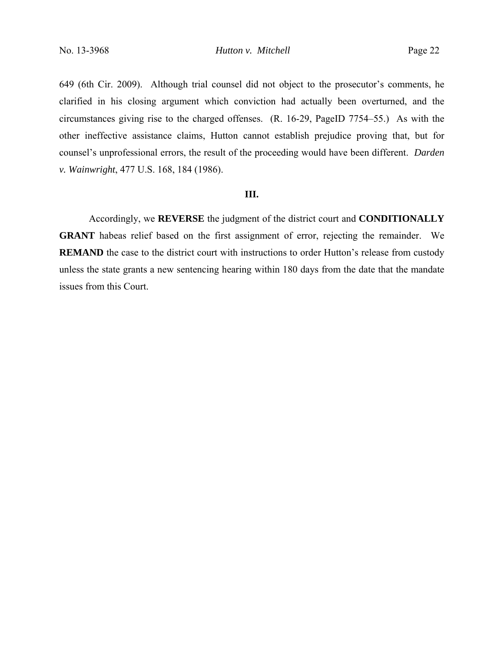649 (6th Cir. 2009). Although trial counsel did not object to the prosecutor's comments, he clarified in his closing argument which conviction had actually been overturned, and the circumstances giving rise to the charged offenses. (R. 16-29, PageID 7754–55.) As with the other ineffective assistance claims, Hutton cannot establish prejudice proving that, but for counsel's unprofessional errors, the result of the proceeding would have been different. *Darden v. Wainwright*, 477 U.S. 168, 184 (1986).

#### **III.**

 Accordingly, we **REVERSE** the judgment of the district court and **CONDITIONALLY GRANT** habeas relief based on the first assignment of error, rejecting the remainder. We **REMAND** the case to the district court with instructions to order Hutton's release from custody unless the state grants a new sentencing hearing within 180 days from the date that the mandate issues from this Court.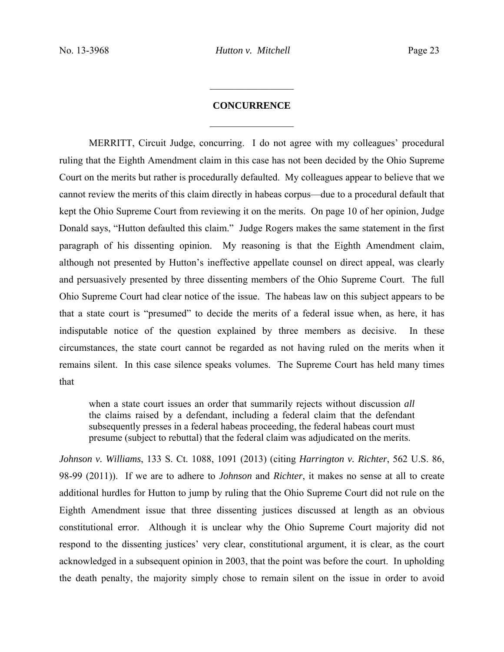## **CONCURRENCE**

 $\frac{1}{2}$ 

 $\frac{1}{2}$ 

 MERRITT, Circuit Judge, concurring. I do not agree with my colleagues' procedural ruling that the Eighth Amendment claim in this case has not been decided by the Ohio Supreme Court on the merits but rather is procedurally defaulted. My colleagues appear to believe that we cannot review the merits of this claim directly in habeas corpus—due to a procedural default that kept the Ohio Supreme Court from reviewing it on the merits. On page 10 of her opinion, Judge Donald says, "Hutton defaulted this claim." Judge Rogers makes the same statement in the first paragraph of his dissenting opinion. My reasoning is that the Eighth Amendment claim, although not presented by Hutton's ineffective appellate counsel on direct appeal, was clearly and persuasively presented by three dissenting members of the Ohio Supreme Court. The full Ohio Supreme Court had clear notice of the issue. The habeas law on this subject appears to be that a state court is "presumed" to decide the merits of a federal issue when, as here, it has indisputable notice of the question explained by three members as decisive. In these circumstances, the state court cannot be regarded as not having ruled on the merits when it remains silent. In this case silence speaks volumes. The Supreme Court has held many times that

when a state court issues an order that summarily rejects without discussion *all* the claims raised by a defendant, including a federal claim that the defendant subsequently presses in a federal habeas proceeding, the federal habeas court must presume (subject to rebuttal) that the federal claim was adjudicated on the merits.

*Johnson v. Williams*, 133 S. Ct. 1088, 1091 (2013) (citing *Harrington v. Richter*, 562 U.S. 86, 98-99 (2011)). If we are to adhere to *Johnson* and *Richter*, it makes no sense at all to create additional hurdles for Hutton to jump by ruling that the Ohio Supreme Court did not rule on the Eighth Amendment issue that three dissenting justices discussed at length as an obvious constitutional error. Although it is unclear why the Ohio Supreme Court majority did not respond to the dissenting justices' very clear, constitutional argument, it is clear, as the court acknowledged in a subsequent opinion in 2003, that the point was before the court. In upholding the death penalty, the majority simply chose to remain silent on the issue in order to avoid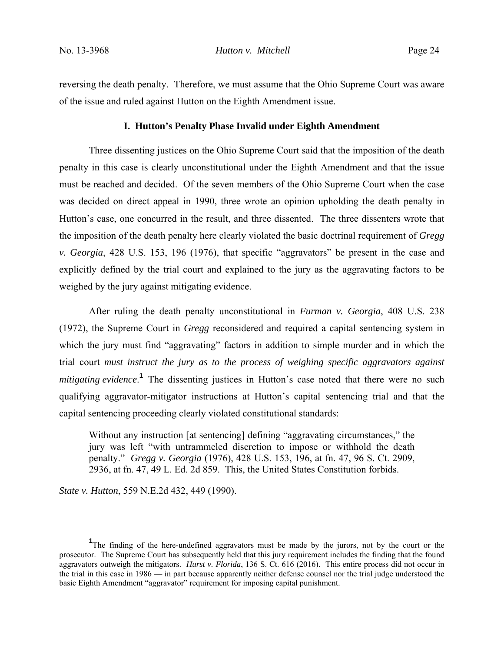reversing the death penalty. Therefore, we must assume that the Ohio Supreme Court was aware of the issue and ruled against Hutton on the Eighth Amendment issue.

#### **I. Hutton's Penalty Phase Invalid under Eighth Amendment**

 Three dissenting justices on the Ohio Supreme Court said that the imposition of the death penalty in this case is clearly unconstitutional under the Eighth Amendment and that the issue must be reached and decided. Of the seven members of the Ohio Supreme Court when the case was decided on direct appeal in 1990, three wrote an opinion upholding the death penalty in Hutton's case, one concurred in the result, and three dissented. The three dissenters wrote that the imposition of the death penalty here clearly violated the basic doctrinal requirement of *Gregg v. Georgia*, 428 U.S. 153, 196 (1976), that specific "aggravators" be present in the case and explicitly defined by the trial court and explained to the jury as the aggravating factors to be weighed by the jury against mitigating evidence.

 After ruling the death penalty unconstitutional in *Furman v. Georgia*, 408 U.S. 238 (1972), the Supreme Court in *Gregg* reconsidered and required a capital sentencing system in which the jury must find "aggravating" factors in addition to simple murder and in which the trial court *must instruct the jury as to the process of weighing specific aggravators against mitigating evidence*.<sup>1</sup> The dissenting justices in Hutton's case noted that there were no such qualifying aggravator-mitigator instructions at Hutton's capital sentencing trial and that the capital sentencing proceeding clearly violated constitutional standards:

Without any instruction [at sentencing] defining "aggravating circumstances," the jury was left "with untrammeled discretion to impose or withhold the death penalty." *Gregg v. Georgia* (1976), 428 U.S. 153, 196, at fn. 47, 96 S. Ct. 2909, 2936, at fn. 47, 49 L. Ed. 2d 859. This, the United States Constitution forbids.

*State v. Hutton*, 559 N.E.2d 432, 449 (1990).

<sup>&</sup>lt;u>1</u> <sup>1</sup>The finding of the here-undefined aggravators must be made by the jurors, not by the court or the prosecutor. The Supreme Court has subsequently held that this jury requirement includes the finding that the found aggravators outweigh the mitigators. *Hurst v. Florida*, 136 S. Ct. 616 (2016). This entire process did not occur in the trial in this case in 1986 — in part because apparently neither defense counsel nor the trial judge understood the basic Eighth Amendment "aggravator" requirement for imposing capital punishment.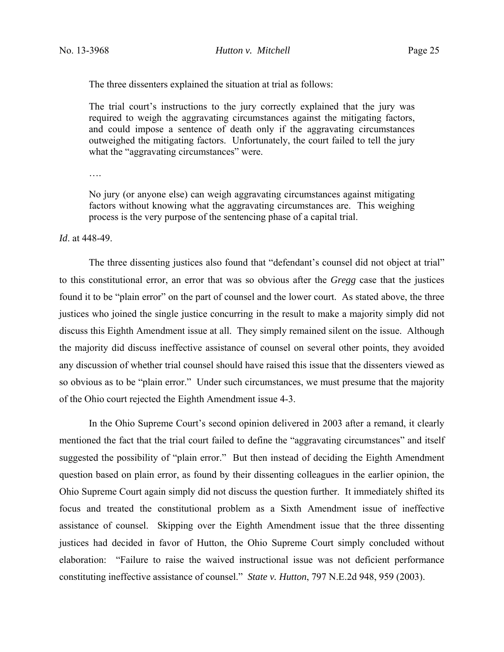The three dissenters explained the situation at trial as follows:

The trial court's instructions to the jury correctly explained that the jury was required to weigh the aggravating circumstances against the mitigating factors, and could impose a sentence of death only if the aggravating circumstances outweighed the mitigating factors. Unfortunately, the court failed to tell the jury what the "aggravating circumstances" were.

….

No jury (or anyone else) can weigh aggravating circumstances against mitigating factors without knowing what the aggravating circumstances are. This weighing process is the very purpose of the sentencing phase of a capital trial.

*Id*. at 448-49.

 The three dissenting justices also found that "defendant's counsel did not object at trial" to this constitutional error, an error that was so obvious after the *Gregg* case that the justices found it to be "plain error" on the part of counsel and the lower court. As stated above, the three justices who joined the single justice concurring in the result to make a majority simply did not discuss this Eighth Amendment issue at all. They simply remained silent on the issue. Although the majority did discuss ineffective assistance of counsel on several other points, they avoided any discussion of whether trial counsel should have raised this issue that the dissenters viewed as so obvious as to be "plain error." Under such circumstances, we must presume that the majority of the Ohio court rejected the Eighth Amendment issue 4-3.

 In the Ohio Supreme Court's second opinion delivered in 2003 after a remand, it clearly mentioned the fact that the trial court failed to define the "aggravating circumstances" and itself suggested the possibility of "plain error." But then instead of deciding the Eighth Amendment question based on plain error, as found by their dissenting colleagues in the earlier opinion, the Ohio Supreme Court again simply did not discuss the question further. It immediately shifted its focus and treated the constitutional problem as a Sixth Amendment issue of ineffective assistance of counsel. Skipping over the Eighth Amendment issue that the three dissenting justices had decided in favor of Hutton, the Ohio Supreme Court simply concluded without elaboration: "Failure to raise the waived instructional issue was not deficient performance constituting ineffective assistance of counsel." *State v. Hutton*, 797 N.E.2d 948, 959 (2003).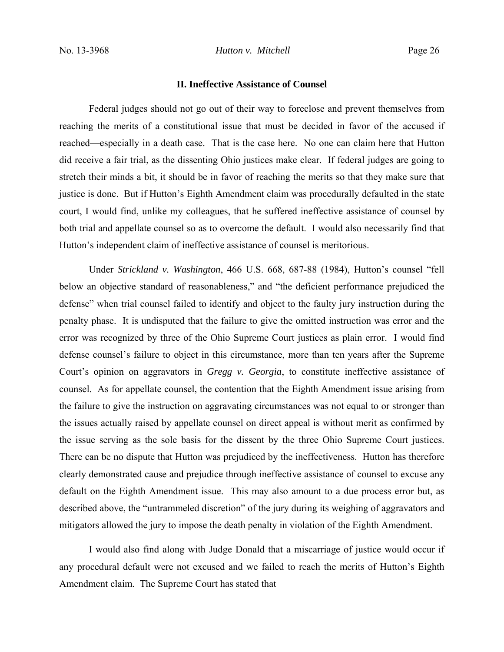#### **II. Ineffective Assistance of Counsel**

 Federal judges should not go out of their way to foreclose and prevent themselves from reaching the merits of a constitutional issue that must be decided in favor of the accused if reached—especially in a death case. That is the case here. No one can claim here that Hutton did receive a fair trial, as the dissenting Ohio justices make clear. If federal judges are going to stretch their minds a bit, it should be in favor of reaching the merits so that they make sure that justice is done. But if Hutton's Eighth Amendment claim was procedurally defaulted in the state court, I would find, unlike my colleagues, that he suffered ineffective assistance of counsel by both trial and appellate counsel so as to overcome the default. I would also necessarily find that Hutton's independent claim of ineffective assistance of counsel is meritorious.

Under *Strickland v. Washington*, 466 U.S. 668, 687-88 (1984), Hutton's counsel "fell below an objective standard of reasonableness," and "the deficient performance prejudiced the defense" when trial counsel failed to identify and object to the faulty jury instruction during the penalty phase. It is undisputed that the failure to give the omitted instruction was error and the error was recognized by three of the Ohio Supreme Court justices as plain error. I would find defense counsel's failure to object in this circumstance, more than ten years after the Supreme Court's opinion on aggravators in *Gregg v. Georgia*, to constitute ineffective assistance of counsel. As for appellate counsel, the contention that the Eighth Amendment issue arising from the failure to give the instruction on aggravating circumstances was not equal to or stronger than the issues actually raised by appellate counsel on direct appeal is without merit as confirmed by the issue serving as the sole basis for the dissent by the three Ohio Supreme Court justices. There can be no dispute that Hutton was prejudiced by the ineffectiveness. Hutton has therefore clearly demonstrated cause and prejudice through ineffective assistance of counsel to excuse any default on the Eighth Amendment issue. This may also amount to a due process error but, as described above, the "untrammeled discretion" of the jury during its weighing of aggravators and mitigators allowed the jury to impose the death penalty in violation of the Eighth Amendment.

I would also find along with Judge Donald that a miscarriage of justice would occur if any procedural default were not excused and we failed to reach the merits of Hutton's Eighth Amendment claim. The Supreme Court has stated that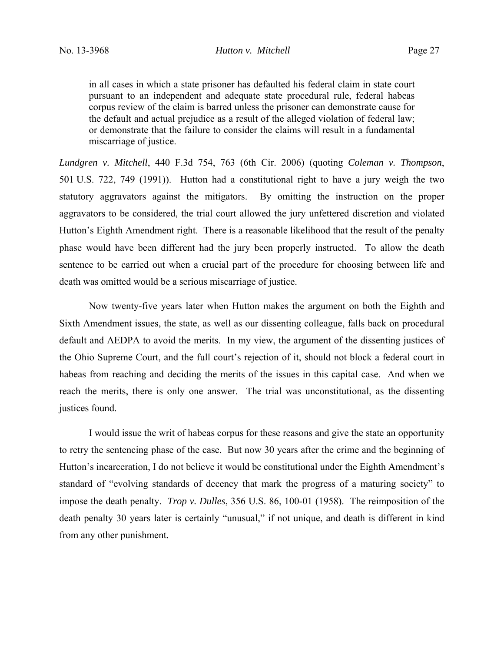in all cases in which a state prisoner has defaulted his federal claim in state court pursuant to an independent and adequate state procedural rule, federal habeas corpus review of the claim is barred unless the prisoner can demonstrate cause for the default and actual prejudice as a result of the alleged violation of federal law; or demonstrate that the failure to consider the claims will result in a fundamental miscarriage of justice.

*Lundgren v. Mitchell*, 440 F.3d 754, 763 (6th Cir. 2006) (quoting *Coleman v. Thompson*, 501 U.S. 722, 749 (1991)). Hutton had a constitutional right to have a jury weigh the two statutory aggravators against the mitigators. By omitting the instruction on the proper aggravators to be considered, the trial court allowed the jury unfettered discretion and violated Hutton's Eighth Amendment right. There is a reasonable likelihood that the result of the penalty phase would have been different had the jury been properly instructed. To allow the death sentence to be carried out when a crucial part of the procedure for choosing between life and death was omitted would be a serious miscarriage of justice.

Now twenty-five years later when Hutton makes the argument on both the Eighth and Sixth Amendment issues, the state, as well as our dissenting colleague, falls back on procedural default and AEDPA to avoid the merits. In my view, the argument of the dissenting justices of the Ohio Supreme Court, and the full court's rejection of it, should not block a federal court in habeas from reaching and deciding the merits of the issues in this capital case. And when we reach the merits, there is only one answer. The trial was unconstitutional, as the dissenting justices found.

 I would issue the writ of habeas corpus for these reasons and give the state an opportunity to retry the sentencing phase of the case. But now 30 years after the crime and the beginning of Hutton's incarceration, I do not believe it would be constitutional under the Eighth Amendment's standard of "evolving standards of decency that mark the progress of a maturing society" to impose the death penalty. *Trop v. Dulles*, 356 U.S. 86, 100-01 (1958). The reimposition of the death penalty 30 years later is certainly "unusual," if not unique, and death is different in kind from any other punishment.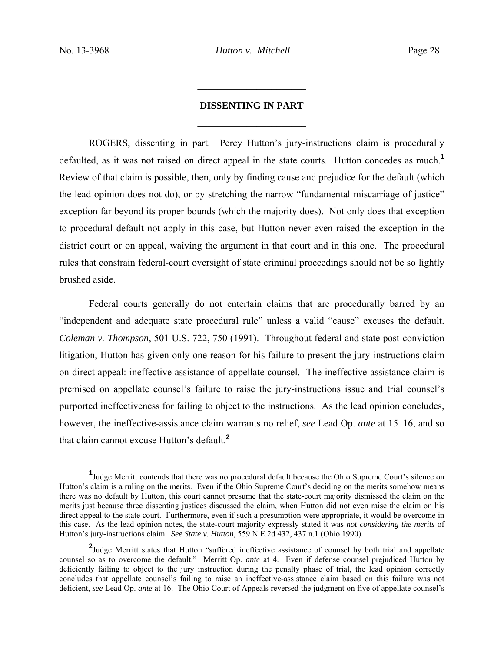# **DISSENTING IN PART**   $\mathcal{L}_\text{max}$  , where  $\mathcal{L}_\text{max}$  , we have the set of  $\mathcal{L}_\text{max}$

 $\mathcal{L}_\text{max}$  , where  $\mathcal{L}_\text{max}$  , we have the set of  $\mathcal{L}_\text{max}$ 

 ROGERS, dissenting in part. Percy Hutton's jury-instructions claim is procedurally defaulted, as it was not raised on direct appeal in the state courts. Hutton concedes as much.**<sup>1</sup>** Review of that claim is possible, then, only by finding cause and prejudice for the default (which the lead opinion does not do), or by stretching the narrow "fundamental miscarriage of justice" exception far beyond its proper bounds (which the majority does). Not only does that exception to procedural default not apply in this case, but Hutton never even raised the exception in the district court or on appeal, waiving the argument in that court and in this one. The procedural rules that constrain federal-court oversight of state criminal proceedings should not be so lightly brushed aside.

 Federal courts generally do not entertain claims that are procedurally barred by an "independent and adequate state procedural rule" unless a valid "cause" excuses the default. *Coleman v. Thompson*, 501 U.S. 722, 750 (1991). Throughout federal and state post-conviction litigation, Hutton has given only one reason for his failure to present the jury-instructions claim on direct appeal: ineffective assistance of appellate counsel. The ineffective-assistance claim is premised on appellate counsel's failure to raise the jury-instructions issue and trial counsel's purported ineffectiveness for failing to object to the instructions. As the lead opinion concludes, however, the ineffective-assistance claim warrants no relief, *see* Lead Op. *ante* at 15–16, and so that claim cannot excuse Hutton's default.**<sup>2</sup>**

<sup>&</sup>lt;u>1</u> <sup>1</sup>Judge Merritt contends that there was no procedural default because the Ohio Supreme Court's silence on Hutton's claim is a ruling on the merits. Even if the Ohio Supreme Court's deciding on the merits somehow means there was no default by Hutton, this court cannot presume that the state-court majority dismissed the claim on the merits just because three dissenting justices discussed the claim, when Hutton did not even raise the claim on his direct appeal to the state court. Furthermore, even if such a presumption were appropriate, it would be overcome in this case. As the lead opinion notes, the state-court majority expressly stated it was *not considering the merits* of Hutton's jury-instructions claim. *See State v. Hutton*, 559 N.E.2d 432, 437 n.1 (Ohio 1990).

<sup>&</sup>lt;sup>2</sup>Judge Merritt states that Hutton "suffered ineffective assistance of counsel by both trial and appellate counsel so as to overcome the default." Merritt Op. *ante* at 4. Even if defense counsel prejudiced Hutton by deficiently failing to object to the jury instruction during the penalty phase of trial, the lead opinion correctly concludes that appellate counsel's failing to raise an ineffective-assistance claim based on this failure was not deficient, *see* Lead Op. *ante* at 16. The Ohio Court of Appeals reversed the judgment on five of appellate counsel's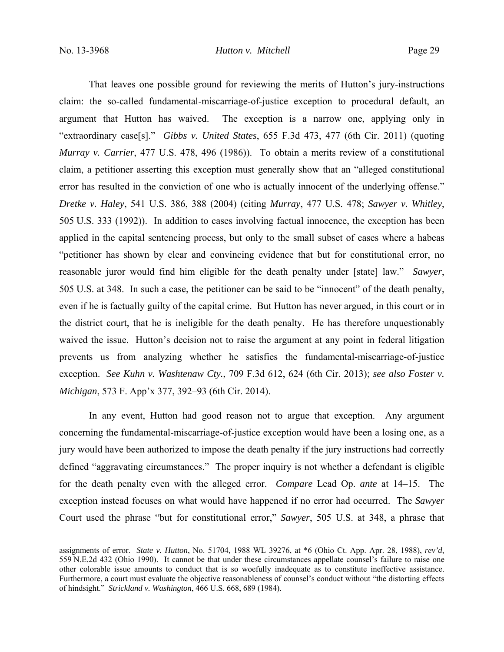That leaves one possible ground for reviewing the merits of Hutton's jury-instructions claim: the so-called fundamental-miscarriage-of-justice exception to procedural default, an argument that Hutton has waived. The exception is a narrow one, applying only in "extraordinary case[s]." *Gibbs v. United States*, 655 F.3d 473, 477 (6th Cir. 2011) (quoting *Murray v. Carrier*, 477 U.S. 478, 496 (1986)). To obtain a merits review of a constitutional claim, a petitioner asserting this exception must generally show that an "alleged constitutional error has resulted in the conviction of one who is actually innocent of the underlying offense." *Dretke v. Haley*, 541 U.S. 386, 388 (2004) (citing *Murray*, 477 U.S. 478; *Sawyer v. Whitley*, 505 U.S. 333 (1992)). In addition to cases involving factual innocence, the exception has been applied in the capital sentencing process, but only to the small subset of cases where a habeas "petitioner has shown by clear and convincing evidence that but for constitutional error, no reasonable juror would find him eligible for the death penalty under [state] law." *Sawyer*, 505 U.S. at 348. In such a case, the petitioner can be said to be "innocent" of the death penalty, even if he is factually guilty of the capital crime. But Hutton has never argued, in this court or in the district court, that he is ineligible for the death penalty. He has therefore unquestionably waived the issue. Hutton's decision not to raise the argument at any point in federal litigation prevents us from analyzing whether he satisfies the fundamental-miscarriage-of-justice exception. *See Kuhn v. Washtenaw Cty.*, 709 F.3d 612, 624 (6th Cir. 2013); *see also Foster v. Michigan*, 573 F. App'x 377, 392–93 (6th Cir. 2014).

 In any event, Hutton had good reason not to argue that exception. Any argument concerning the fundamental-miscarriage-of-justice exception would have been a losing one, as a jury would have been authorized to impose the death penalty if the jury instructions had correctly defined "aggravating circumstances." The proper inquiry is not whether a defendant is eligible for the death penalty even with the alleged error. *Compare* Lead Op. *ante* at 14–15. The exception instead focuses on what would have happened if no error had occurred. The *Sawyer*  Court used the phrase "but for constitutional error," *Sawyer*, 505 U.S. at 348, a phrase that

assignments of error. *State v. Hutton*, No. 51704, 1988 WL 39276, at \*6 (Ohio Ct. App. Apr. 28, 1988), *rev'd*, 559 N.E.2d 432 (Ohio 1990). It cannot be that under these circumstances appellate counsel's failure to raise one other colorable issue amounts to conduct that is so woefully inadequate as to constitute ineffective assistance. Furthermore, a court must evaluate the objective reasonableness of counsel's conduct without "the distorting effects of hindsight." *Strickland v. Washington*, 466 U.S. 668, 689 (1984).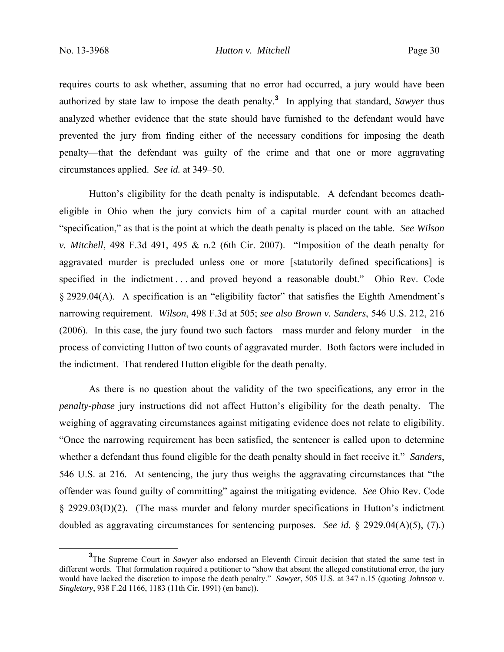requires courts to ask whether, assuming that no error had occurred, a jury would have been authorized by state law to impose the death penalty.**<sup>3</sup>** In applying that standard, *Sawyer* thus analyzed whether evidence that the state should have furnished to the defendant would have prevented the jury from finding either of the necessary conditions for imposing the death penalty—that the defendant was guilty of the crime and that one or more aggravating circumstances applied. *See id.* at 349–50.

 Hutton's eligibility for the death penalty is indisputable. A defendant becomes deatheligible in Ohio when the jury convicts him of a capital murder count with an attached "specification," as that is the point at which the death penalty is placed on the table. *See Wilson v. Mitchell*, 498 F.3d 491, 495 & n.2 (6th Cir. 2007). "Imposition of the death penalty for aggravated murder is precluded unless one or more [statutorily defined specifications] is specified in the indictment . . . and proved beyond a reasonable doubt." Ohio Rev. Code § 2929.04(A). A specification is an "eligibility factor" that satisfies the Eighth Amendment's narrowing requirement. *Wilson*, 498 F.3d at 505; *see also Brown v. Sanders*, 546 U.S. 212, 216 (2006). In this case, the jury found two such factors—mass murder and felony murder—in the process of convicting Hutton of two counts of aggravated murder. Both factors were included in the indictment. That rendered Hutton eligible for the death penalty.

As there is no question about the validity of the two specifications, any error in the *penalty-phase* jury instructions did not affect Hutton's eligibility for the death penalty. The weighing of aggravating circumstances against mitigating evidence does not relate to eligibility. "Once the narrowing requirement has been satisfied, the sentencer is called upon to determine whether a defendant thus found eligible for the death penalty should in fact receive it." *Sanders*, 546 U.S. at 216*.* At sentencing, the jury thus weighs the aggravating circumstances that "the offender was found guilty of committing" against the mitigating evidence. *See* Ohio Rev. Code § 2929.03(D)(2). (The mass murder and felony murder specifications in Hutton's indictment doubled as aggravating circumstances for sentencing purposes. *See id.* § 2929.04(A)(5), (7).)

**<sup>3</sup>** <sup>3</sup>The Supreme Court in *Sawyer* also endorsed an Eleventh Circuit decision that stated the same test in different words. That formulation required a petitioner to "show that absent the alleged constitutional error, the jury would have lacked the discretion to impose the death penalty." *Sawyer*, 505 U.S. at 347 n.15 (quoting *Johnson v. Singletary*, 938 F.2d 1166, 1183 (11th Cir. 1991) (en banc)).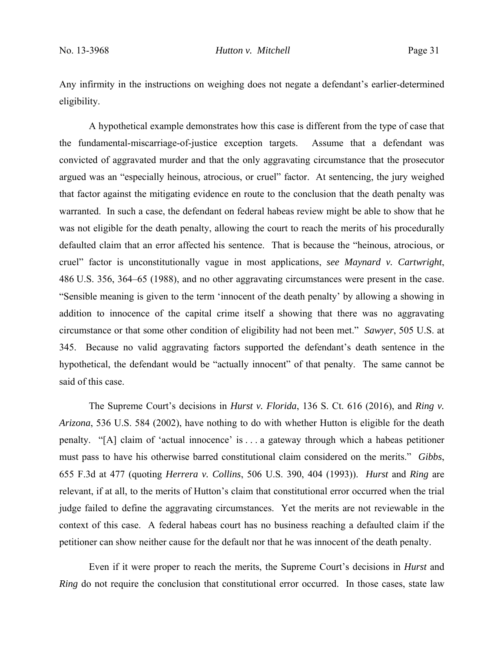Any infirmity in the instructions on weighing does not negate a defendant's earlier-determined eligibility.

A hypothetical example demonstrates how this case is different from the type of case that the fundamental-miscarriage-of-justice exception targets. Assume that a defendant was convicted of aggravated murder and that the only aggravating circumstance that the prosecutor argued was an "especially heinous, atrocious, or cruel" factor. At sentencing, the jury weighed that factor against the mitigating evidence en route to the conclusion that the death penalty was warranted. In such a case, the defendant on federal habeas review might be able to show that he was not eligible for the death penalty, allowing the court to reach the merits of his procedurally defaulted claim that an error affected his sentence. That is because the "heinous, atrocious, or cruel" factor is unconstitutionally vague in most applications, *see Maynard v. Cartwright*, 486 U.S. 356, 364–65 (1988), and no other aggravating circumstances were present in the case. "Sensible meaning is given to the term 'innocent of the death penalty' by allowing a showing in addition to innocence of the capital crime itself a showing that there was no aggravating circumstance or that some other condition of eligibility had not been met." *Sawyer*, 505 U.S. at 345. Because no valid aggravating factors supported the defendant's death sentence in the hypothetical, the defendant would be "actually innocent" of that penalty. The same cannot be said of this case.

 The Supreme Court's decisions in *Hurst v. Florida*, 136 S. Ct. 616 (2016), and *Ring v. Arizona*, 536 U.S. 584 (2002), have nothing to do with whether Hutton is eligible for the death penalty. "[A] claim of 'actual innocence' is . . . a gateway through which a habeas petitioner must pass to have his otherwise barred constitutional claim considered on the merits." *Gibbs*, 655 F.3d at 477 (quoting *Herrera v. Collins*, 506 U.S. 390, 404 (1993)). *Hurst* and *Ring* are relevant, if at all, to the merits of Hutton's claim that constitutional error occurred when the trial judge failed to define the aggravating circumstances. Yet the merits are not reviewable in the context of this case. A federal habeas court has no business reaching a defaulted claim if the petitioner can show neither cause for the default nor that he was innocent of the death penalty.

Even if it were proper to reach the merits, the Supreme Court's decisions in *Hurst* and *Ring* do not require the conclusion that constitutional error occurred. In those cases, state law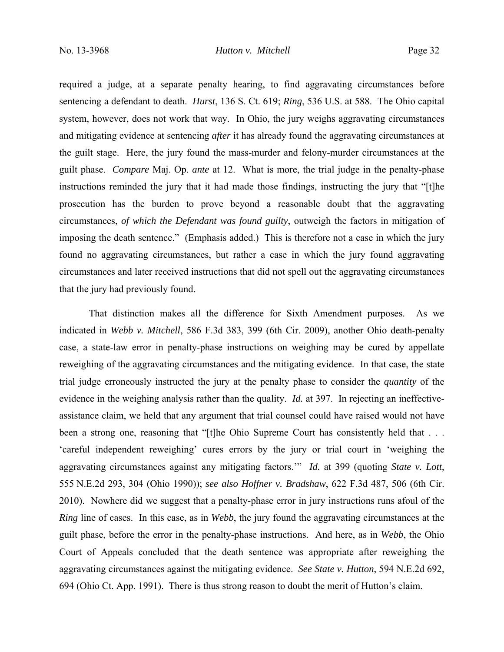required a judge, at a separate penalty hearing, to find aggravating circumstances before sentencing a defendant to death. *Hurst*, 136 S. Ct. 619; *Ring*, 536 U.S. at 588. The Ohio capital system, however, does not work that way. In Ohio, the jury weighs aggravating circumstances and mitigating evidence at sentencing *after* it has already found the aggravating circumstances at the guilt stage. Here, the jury found the mass-murder and felony-murder circumstances at the guilt phase. *Compare* Maj. Op. *ante* at 12. What is more, the trial judge in the penalty-phase instructions reminded the jury that it had made those findings, instructing the jury that "[t]he prosecution has the burden to prove beyond a reasonable doubt that the aggravating circumstances, *of which the Defendant was found guilty*, outweigh the factors in mitigation of imposing the death sentence." (Emphasis added.) This is therefore not a case in which the jury found no aggravating circumstances, but rather a case in which the jury found aggravating circumstances and later received instructions that did not spell out the aggravating circumstances that the jury had previously found.

That distinction makes all the difference for Sixth Amendment purposes. As we indicated in *Webb v. Mitchell*, 586 F.3d 383, 399 (6th Cir. 2009), another Ohio death-penalty case, a state-law error in penalty-phase instructions on weighing may be cured by appellate reweighing of the aggravating circumstances and the mitigating evidence. In that case, the state trial judge erroneously instructed the jury at the penalty phase to consider the *quantity* of the evidence in the weighing analysis rather than the quality. *Id.* at 397. In rejecting an ineffectiveassistance claim, we held that any argument that trial counsel could have raised would not have been a strong one, reasoning that "[t]he Ohio Supreme Court has consistently held that ... 'careful independent reweighing' cures errors by the jury or trial court in 'weighing the aggravating circumstances against any mitigating factors.'" *Id.* at 399 (quoting *State v. Lott*, 555 N.E.2d 293, 304 (Ohio 1990)); *see also Hoffner v. Bradshaw*, 622 F.3d 487, 506 (6th Cir. 2010). Nowhere did we suggest that a penalty-phase error in jury instructions runs afoul of the *Ring* line of cases. In this case, as in *Webb*, the jury found the aggravating circumstances at the guilt phase, before the error in the penalty-phase instructions. And here, as in *Webb*, the Ohio Court of Appeals concluded that the death sentence was appropriate after reweighing the aggravating circumstances against the mitigating evidence. *See State v. Hutton*, 594 N.E.2d 692, 694 (Ohio Ct. App. 1991). There is thus strong reason to doubt the merit of Hutton's claim.